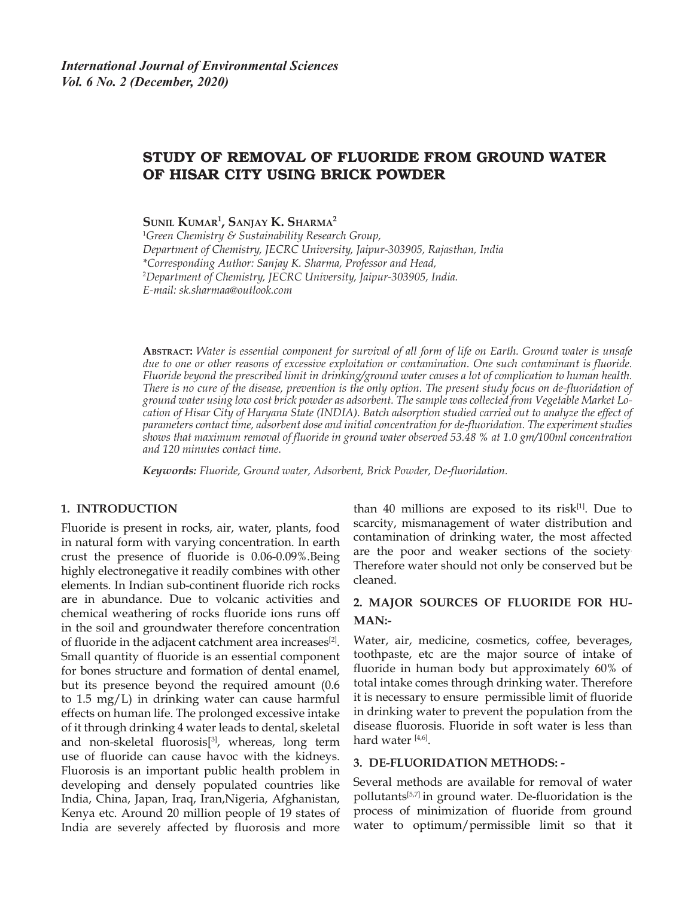# STUDY OF REMOVAL OF FLUORIDE FROM GROUND WATER OF HISAR CITY USING BRICK POWDER

**Sunil Kumar1 , Sanjay K. Sharma2**

1 *Green Chemistry & Sustainability Research Group, Department of Chemistry, JECRC University, Jaipur-303905, Rajasthan, India \*Corresponding Author: Sanjay K. Sharma, Professor and Head,*  2 *Department of Chemistry, JECRC University, Jaipur-303905, India. E-mail: sk.sharmaa@outlook.com*

**Abstract:** *Water is essential component for survival of all form of life on Earth. Ground water is unsafe due to one or other reasons of excessive exploitation or contamination. One such contaminant is fluoride. Fluoride beyond the prescribed limit in drinking/ground water causes a lot of complication to human health. There is no cure of the disease, prevention is the only option. The present study focus on de-fluoridation of ground water using low cost brick powder as adsorbent. The sample was collected from Vegetable Market Lo*cation of Hisar City of Haryana State (INDIA). Batch adsorption studied carried out to analyze the effect of *parameters contact time, adsorbent dose and initial concentration for de-fluoridation. The experiment studies shows that maximum removal of fluoride in ground water observed 53.48 % at 1.0 gm/100ml concentration and 120 minutes contact time.*

*Keywords: Fluoride, Ground water, Adsorbent, Brick Powder, De-fluoridation.*

#### **1. INTRODUCTION**

Fluoride is present in rocks, air, water, plants, food in natural form with varying concentration. In earth crust the presence of fluoride is 0.06-0.09%.Being highly electronegative it readily combines with other elements. In Indian sub-continent fluoride rich rocks are in abundance. Due to volcanic activities and chemical weathering of rocks fluoride ions runs off in the soil and groundwater therefore concentration of fluoride in the adjacent catchment area increases<sup>[2]</sup>. Small quantity of fluoride is an essential component for bones structure and formation of dental enamel, but its presence beyond the required amount (0.6 to 1.5 mg/L) in drinking water can cause harmful effects on human life. The prolonged excessive intake of it through drinking 4 water leads to dental, skeletal and non-skeletal fluorosis<sup>[3]</sup>, whereas, long term use of fluoride can cause havoc with the kidneys. Fluorosis is an important public health problem in developing and densely populated countries like India, China, Japan, Iraq, Iran,Nigeria, Afghanistan, Kenya etc. Around 20 million people of 19 states of India are severely affected by fluorosis and more

than 40 millions are exposed to its risk $[1]$ . Due to scarcity, mismanagement of water distribution and contamination of drinking water, the most affected are the poor and weaker sections of the society. Therefore water should not only be conserved but be cleaned.

## **2. MAJOR SOURCES OF FLUORIDE FOR HU-MAN:-**

Water, air, medicine, cosmetics, coffee, beverages, toothpaste, etc are the major source of intake of fluoride in human body but approximately 60% of total intake comes through drinking water. Therefore it is necessary to ensure permissible limit of fluoride in drinking water to prevent the population from the disease fluorosis. Fluoride in soft water is less than hard water [4,6].

#### **3. DE-FLUORIDATION METHODS: -**

Several methods are available for removal of water pollutants[5,7] in ground water. De-fluoridation is the process of minimization of fluoride from ground water to optimum/permissible limit so that it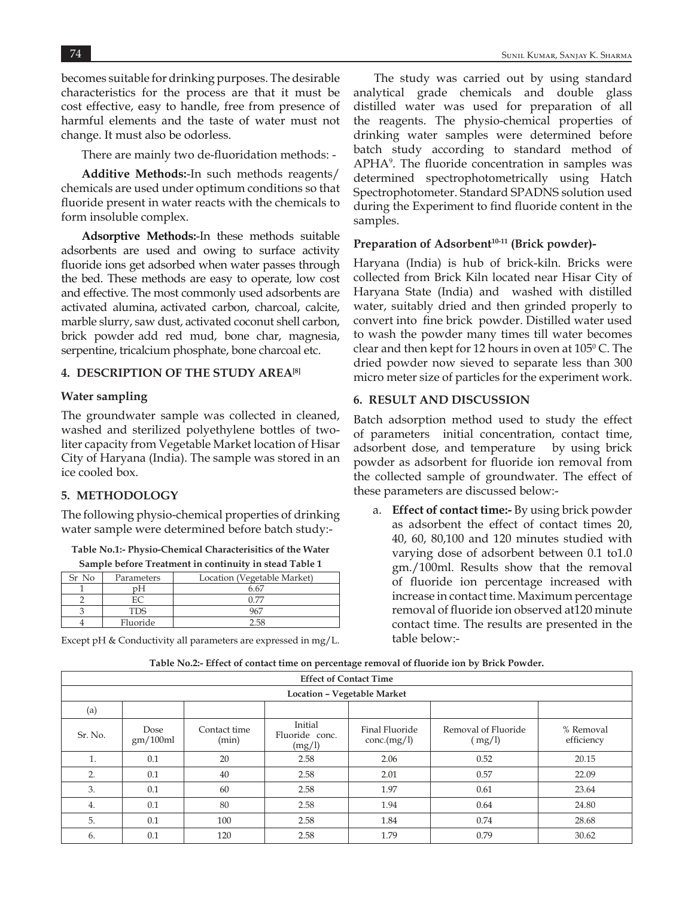becomes suitable for drinking purposes. The desirable characteristics for the process are that it must be cost effective, easy to handle, free from presence of harmful elements and the taste of water must not change. It must also be odorless.

There are mainly two de-fluoridation methods: -

**Additive Methods:**-In such methods reagents/ chemicals are used under optimum conditions so that fluoride present in water reacts with the chemicals to form insoluble complex.

**Adsorptive Methods:**-In these methods suitable adsorbents are used and owing to surface activity fluoride ions get adsorbed when water passes through the bed. These methods are easy to operate, low cost and effective. The most commonly used adsorbents are activated alumina, activated carbon, charcoal, calcite, marble slurry, saw dust, activated coconut shell carbon, brick powder add red mud, bone char, magnesia, serpentine, tricalcium phosphate, bone charcoal etc.

### **4. DESCRIPTION OF THE STUDY AREA[8]**

#### **Water sampling**

The groundwater sample was collected in cleaned, washed and sterilized polyethylene bottles of twoliter capacity from Vegetable Market location of Hisar City of Haryana (India). The sample was stored in an ice cooled box.

### **5. METHODOLOGY**

The following physio-chemical properties of drinking water sample were determined before batch study:-

**Table No.1:- Physio-Chemical Characterisitics of the Water Sample before Treatment in continuity in stead Table 1** 

| Sample before Treatment in continuity in stead Table I |            |                             |  |  |  |  |
|--------------------------------------------------------|------------|-----------------------------|--|--|--|--|
| Sr No                                                  | Parameters | Location (Vegetable Market) |  |  |  |  |
|                                                        | nН         | 6.67                        |  |  |  |  |
|                                                        |            | በ 77                        |  |  |  |  |
|                                                        | <b>TDS</b> | 967                         |  |  |  |  |
|                                                        | Fluoride   | 2.58                        |  |  |  |  |

Except pH & Conductivity all parameters are expressed in mg/L.

The study was carried out by using standard analytical grade chemicals and double glass distilled water was used for preparation of all the reagents. The physio-chemical properties of drinking water samples were determined before batch study according to standard method of APHA<sup>9</sup> . The fluoride concentration in samples was determined spectrophotometrically using Hatch Spectrophotometer. Standard SPADNS solution used during the Experiment to find fluoride content in the samples.

#### Preparation of Adsorbent<sup>10-11</sup> (Brick powder)-

Haryana (India) is hub of brick-kiln. Bricks were collected from Brick Kiln located near Hisar City of Haryana State (India) and washed with distilled water, suitably dried and then grinded properly to convert into fine brick powder. Distilled water used to wash the powder many times till water becomes clear and then kept for 12 hours in oven at  $105^{\circ}$  C. The dried powder now sieved to separate less than 300 micro meter size of particles for the experiment work.

#### **6. RESULT AND DISCUSSION**

Batch adsorption method used to study the effect of parameters initial concentration, contact time, adsorbent dose, and temperature by using brick powder as adsorbent for fluoride ion removal from the collected sample of groundwater. The effect of these parameters are discussed below:-

a. **Effect of contact time:-** By using brick powder as adsorbent the effect of contact times 20, 40, 60, 80,100 and 120 minutes studied with varying dose of adsorbent between 0.1 to1.0 gm./100ml. Results show that the removal of fluoride ion percentage increased with increase in contact time. Maximum percentage removal of fluoride ion observed at120 minute contact time. The results are presented in the table below:-

| <b>Effect of Contact Time</b> |                  |                       |                                     |                               |                               |                         |  |
|-------------------------------|------------------|-----------------------|-------------------------------------|-------------------------------|-------------------------------|-------------------------|--|
| Location - Vegetable Market   |                  |                       |                                     |                               |                               |                         |  |
| (a)                           |                  |                       |                                     |                               |                               |                         |  |
| Sr. No.                       | Dose<br>gm/100ml | Contact time<br>(min) | Initial<br>Fluoride conc.<br>(mg/l) | Final Fluoride<br>conc.(mg/l) | Removal of Fluoride<br>(mg/l) | % Removal<br>efficiency |  |
| 1.                            | 0.1              | 20                    | 2.58                                | 2.06                          | 0.52                          | 20.15                   |  |
| 2.                            | 0.1              | 40                    | 2.58                                | 2.01                          | 0.57                          | 22.09                   |  |
| 3.                            | 0.1              | 60                    | 2.58                                | 1.97                          | 0.61                          | 23.64                   |  |
| 4.                            | 0.1              | 80                    | 2.58                                | 1.94                          | 0.64                          | 24.80                   |  |
| 5.                            | 0.1              | 100                   | 2.58                                | 1.84                          | 0.74                          | 28.68                   |  |
| 6.                            | 0.1              | 120                   | 2.58                                | 1.79                          | 0.79                          | 30.62                   |  |

**Table No.2:- Effect of contact time on percentage removal of fluoride ion by Brick Powder.**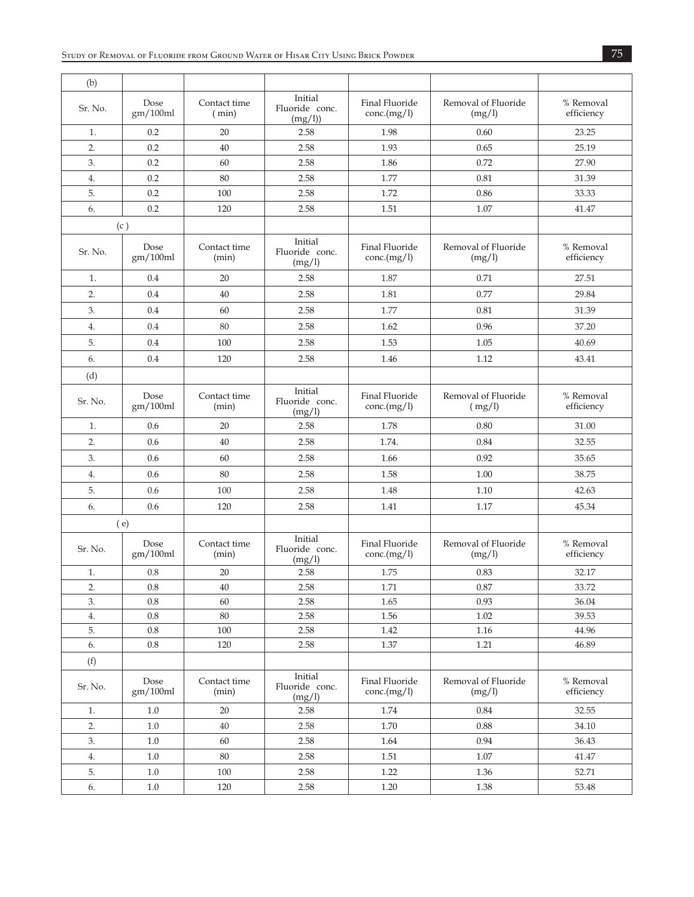| (b)     |                  |                       |                                     |                               |                               |                         |
|---------|------------------|-----------------------|-------------------------------------|-------------------------------|-------------------------------|-------------------------|
| Sr. No. | Dose<br>gm/100ml | Contact time<br>(min) | Initial<br>Fluoride conc.<br>(mg/l) | Final Fluoride<br>conc.(mg/l) | Removal of Fluoride<br>(mg/l) | % Removal<br>efficiency |
| 1.      | 0.2              | 20                    | 2.58                                | 1.98                          | 0.60                          | 23.25                   |
| 2.      | 0.2              | 40                    | 2.58                                | 1.93                          | 0.65                          | 25.19                   |
| 3.      | 0.2              | 60                    | 2.58                                | 1.86                          | 0.72                          | 27.90                   |
| 4.      | 0.2              | 80                    | 2.58                                | 1.77                          | 0.81                          | 31.39                   |
| 5.      | 0.2              | 100                   | 2.58                                | 1.72                          | 0.86                          | 33.33                   |
| 6.      | 0.2              | 120                   | 2.58                                | 1.51                          | 1.07                          | 41.47                   |
|         | (c)              |                       |                                     |                               |                               |                         |
| Sr. No. | Dose<br>gm/100ml | Contact time<br>(min) | Initial<br>Fluoride conc.<br>(mg/l) | Final Fluoride<br>conc.(mg/l) | Removal of Fluoride<br>(mg/l) | % Removal<br>efficiency |
| 1.      | 0.4              | 20                    | 2.58                                | 1.87                          | 0.71                          | 27.51                   |
| 2.      | 0.4              | 40                    | 2.58                                | 1.81                          | 0.77                          | 29.84                   |
| 3.      | 0.4              | 60                    | 2.58                                | 1.77                          | 0.81                          | 31.39                   |
| 4.      | 0.4              | 80                    | 2.58                                | 1.62                          | 0.96                          | 37.20                   |
| 5.      | 0.4              | 100                   | 2.58                                | 1.53                          | 1.05                          | 40.69                   |
| 6.      | 0.4              | 120                   | 2.58                                | 1.46                          | 1.12                          | 43.41                   |
| (d)     |                  |                       |                                     |                               |                               |                         |
| Sr. No. | Dose<br>gm/100ml | Contact time<br>(min) | Initial<br>Fluoride conc.<br>(mg/l) | Final Fluoride<br>conc.(mg/l) | Removal of Fluoride<br>(mg/l) | % Removal<br>efficiency |
| 1.      | 0.6              | 20                    | 2.58                                | 1.78                          | 0.80                          | 31.00                   |
| 2.      | 0.6              | 40                    | 2.58                                | 1.74.                         | 0.84                          | 32.55                   |
| 3.      | 0.6              | 60                    | 2.58                                | 1.66                          | 0.92                          | 35.65                   |
| 4.      | 0.6              | 80                    | 2.58                                | 1.58                          | 1.00                          | 38.75                   |
| 5.      | 0.6              | 100                   | 2.58                                | 1.48                          | 1.10                          | 42.63                   |
| 6.      | 0.6              | 120                   | 2.58                                | 1.41                          | 1.17                          | 45.34                   |
|         | (e)              |                       |                                     |                               |                               |                         |
| Sr. No. | Dose<br>gm/100ml | Contact time<br>(min) | Initial<br>Fluoride conc.<br>(mg/l) | Final Fluoride<br>conc.(mg/l) | Removal of Fluoride<br>(mg/l) | % Removal<br>efficiency |
| 1.      | 0.8              | 20                    | 2.58                                | 1.75                          | 0.83                          | 32.17                   |
| 2.      | $0.8\,$          | 40                    | 2.58                                | 1.71                          | 0.87                          | 33.72                   |
| 3.      | 0.8              | 60                    | 2.58                                | 1.65                          | 0.93                          | 36.04                   |
| 4.      | $0.8\,$          | $80\,$                | 2.58                                | 1.56                          | $1.02\,$                      | 39.53                   |
| 5.      | $0.8\,$          | 100                   | 2.58                                | 1.42                          | $1.16\,$                      | 44.96                   |
| 6.      | $0.8\,$          | 120                   | 2.58                                | 1.37                          | 1.21                          | 46.89                   |
| (f)     |                  |                       |                                     |                               |                               |                         |
| Sr. No. | Dose<br>gm/100ml | Contact time<br>(min) | Initial<br>Fluoride conc.<br>(mg/l) | Final Fluoride<br>conc.(mg/l) | Removal of Fluoride<br>(mg/l) | % Removal<br>efficiency |
| $1. \,$ | $1.0\,$          | $20\,$                | 2.58                                | 1.74                          | 0.84                          | 32.55                   |
| 2.      | 1.0              | 40                    | 2.58                                | 1.70                          | 0.88                          | 34.10                   |
| 3.      | $1.0\,$          | 60                    | 2.58                                | 1.64                          | 0.94                          | 36.43                   |
| 4.      | $1.0\,$          | $80\,$                | 2.58                                | 1.51                          | $1.07\,$                      | 41.47                   |
| 5.      | $1.0\,$          | 100                   | 2.58                                | 1.22                          | 1.36                          | 52.71                   |
| 6.      | $1.0\,$          | 120                   | 2.58                                | 1.20                          | $1.38\,$                      | 53.48                   |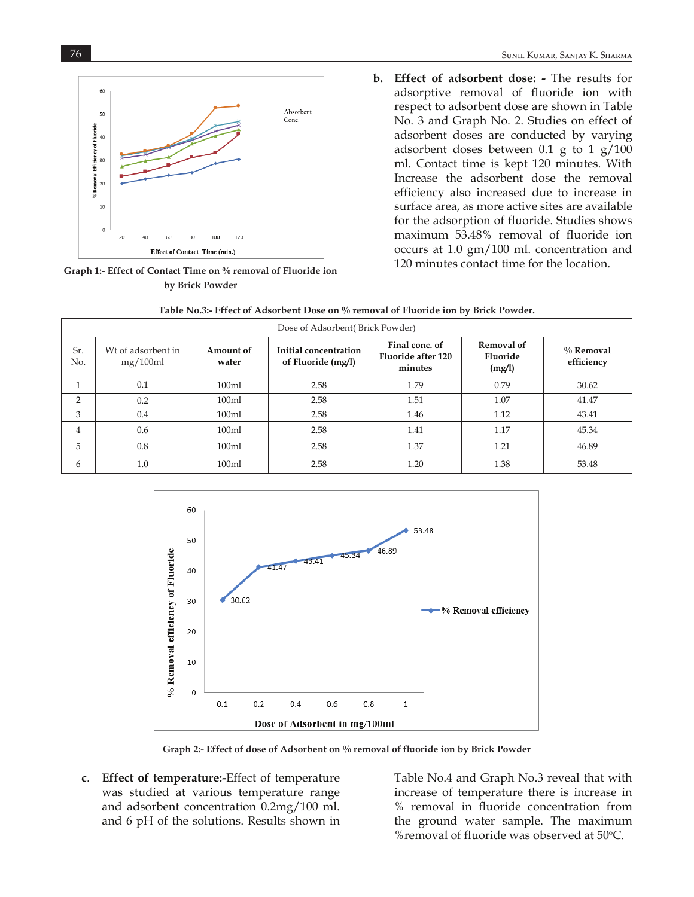

**Graph 1:- Effect of Contact Time on % removal of Fluoride ion by Brick Powder**

- 76 Sunil Kumar, Sanjay K. Sharma
	- **b. Effect of adsorbent dose:** The results for adsorptive removal of fluoride ion with respect to adsorbent dose are shown in Table No. 3 and Graph No. 2. Studies on effect of adsorbent doses are conducted by varying adsorbent doses between 0.1 g to 1 g/100 ml. Contact time is kept 120 minutes. With Increase the adsorbent dose the removal efficiency also increased due to increase in surface area, as more active sites are available for the adsorption of fluoride. Studies shows maximum 53.48% removal of fluoride ion occurs at 1.0 gm/100 ml. concentration and 120 minutes contact time for the location.

| Dose of Adsorbent (Brick Powder) |                                |                    |                                             |                                                 |                                         |                         |
|----------------------------------|--------------------------------|--------------------|---------------------------------------------|-------------------------------------------------|-----------------------------------------|-------------------------|
| Sr.<br>No.                       | Wt of adsorbent in<br>mg/100ml | Amount of<br>water | Initial concentration<br>of Fluoride (mg/l) | Final conc. of<br>Fluoride after 120<br>minutes | <b>Removal of</b><br>Fluoride<br>(mg/l) | % Removal<br>efficiency |
|                                  | 0.1                            | 100ml              | 2.58                                        | 1.79                                            | 0.79                                    | 30.62                   |
| $\overline{2}$                   | 0.2                            | 100ml              | 2.58                                        | 1.51                                            | 1.07                                    | 41.47                   |
| 3                                | 0.4                            | 100ml              | 2.58                                        | 1.46                                            | 1.12                                    | 43.41                   |
| 4                                | 0.6                            | 100ml              | 2.58                                        | 1.41                                            | 1.17                                    | 45.34                   |
| 5                                | 0.8                            | 100ml              | 2.58                                        | 1.37                                            | 1.21                                    | 46.89                   |
| 6                                | 1.0                            | 100m1              | 2.58                                        | 1.20                                            | 1.38                                    | 53.48                   |

**Table No.3:- Effect of Adsorbent Dose on % removal of Fluoride ion by Brick Powder.** 



**Graph 2:- Effect of dose of Adsorbent on % removal of fluoride ion by Brick Powder**

**c**. **Effect of temperature:-**Effect of temperature was studied at various temperature range and adsorbent concentration 0.2mg/100 ml. and 6 pH of the solutions. Results shown in Table No.4 and Graph No.3 reveal that with increase of temperature there is increase in % removal in fluoride concentration from the ground water sample. The maximum %removal of fluoride was observed at 50°C.